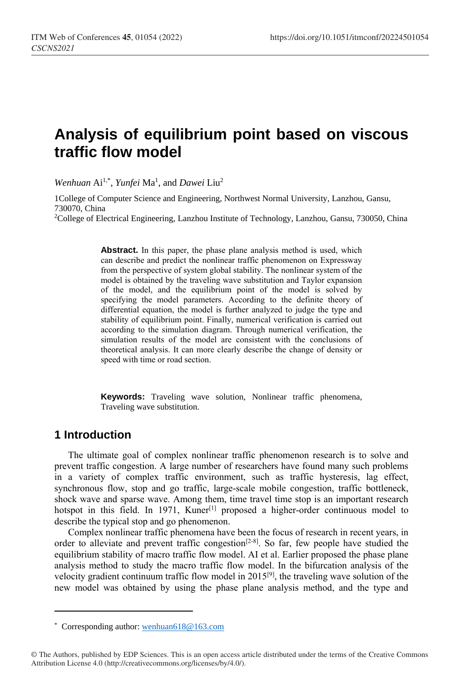# **Analysis of equilibrium point based on viscous traffic flow model**

*Wenhuan* Ai<sup>1,\*</sup>, *Yunfei* Ma<sup>1</sup>, and *Dawei* Liu<sup>2</sup>

1College of Computer Science and Engineering, Northwest Normal University, Lanzhou, Gansu, 730070, China

<sup>2</sup>College of Electrical Engineering, Lanzhou Institute of Technology, Lanzhou, Gansu, 730050, China

Abstract. In this paper, the phase plane analysis method is used, which can describe and predict the nonlinear traffic phenomenon on Expressway from the perspective of system global stability. The nonlinear system of the model is obtained by the traveling wave substitution and Taylor expansion of the model, and the equilibrium point of the model is solved by specifying the model parameters. According to the definite theory of differential equation, the model is further analyzed to judge the type and stability of equilibrium point. Finally, numerical verification is carried out according to the simulation diagram. Through numerical verification, the simulation results of the model are consistent with the conclusions of theoretical analysis. It can more clearly describe the change of density or speed with time or road section.

**Keywords:** Traveling wave solution, Nonlinear traffic phenomena, Traveling wave substitution.

### **1 Introduction**

 $\overline{a}$ 

The ultimate goal of complex nonlinear traffic phenomenon research is to solve and prevent traffic congestion. A large number of researchers have found many such problems in a variety of complex traffic environment, such as traffic hysteresis, lag effect, synchronous flow, stop and go traffic, large-scale mobile congestion, traffic bottleneck, shock wave and sparse wave. Among them, time travel time stop is an important research hotspot in this field. In 1971, Kuner<sup>[1]</sup> proposed a higher-order continuous model to describe the typical stop and go phenomenon.

Complex nonlinear traffic phenomena have been the focus of research in recent years, in order to alleviate and prevent traffic congestion<sup>[2-8]</sup>. So far, few people have studied the equilibrium stability of macro traffic flow model. AI et al. Earlier proposed the phase plane analysis method to study the macro traffic flow model. In the bifurcation analysis of the velocity gradient continuum traffic flow model in 2015[9], the traveling wave solution of the new model was obtained by using the phase plane analysis method, and the type and

<sup>\*</sup> Corresponding author[: wenhuan618@163.com](mailto:wenhuan618@163.com)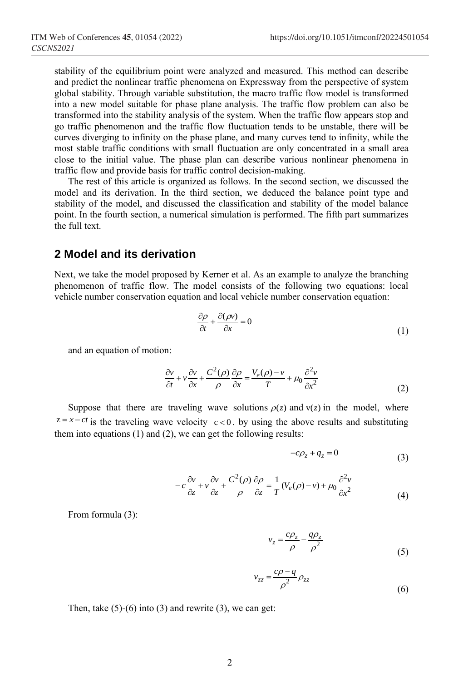stability of the equilibrium point were analyzed and measured. This method can describe and predict the nonlinear traffic phenomena on Expressway from the perspective of system global stability. Through variable substitution, the macro traffic flow model is transformed into a new model suitable for phase plane analysis. The traffic flow problem can also be transformed into the stability analysis of the system. When the traffic flow appears stop and go traffic phenomenon and the traffic flow fluctuation tends to be unstable, there will be curves diverging to infinity on the phase plane, and many curves tend to infinity, while the most stable traffic conditions with small fluctuation are only concentrated in a small area close to the initial value. The phase plan can describe various nonlinear phenomena in traffic flow and provide basis for traffic control decision-making.

The rest of this article is organized as follows. In the second section, we discussed the model and its derivation. In the third section, we deduced the balance point type and stability of the model, and discussed the classification and stability of the model balance point. In the fourth section, a numerical simulation is performed. The fifth part summarizes the full text.

### **2 Model and its derivation**

Next, we take the model proposed by Kerner et al. As an example to analyze the branching phenomenon of traffic flow. The model consists of the following two equations: local vehicle number conservation equation and local vehicle number conservation equation:

$$
\frac{\partial \rho}{\partial t} + \frac{\partial (\rho v)}{\partial x} = 0 \tag{1}
$$

and an equation of motion:

$$
\frac{\partial v}{\partial t} + v \frac{\partial v}{\partial x} + \frac{C^2(\rho)}{\rho} \frac{\partial \rho}{\partial x} = \frac{V_e(\rho) - v}{T} + \mu_0 \frac{\partial^2 v}{\partial x^2}
$$
(2)

Suppose that there are traveling wave solutions  $\rho(z)$  and  $v(z)$  in the model, where  $z = x - ct$  is the traveling wave velocity  $c < 0$ . by using the above results and substituting them into equations (1) and (2), we can get the following results:

$$
-c\rho_z + q_z = 0 \tag{3}
$$

$$
-c\frac{\partial v}{\partial z} + v\frac{\partial v}{\partial z} + \frac{C^2(\rho)}{\rho}\frac{\partial \rho}{\partial z} = \frac{1}{T}(V_e(\rho) - v) + \mu_0 \frac{\partial^2 v}{\partial x^2}
$$
(4)

From formula (3):

$$
v_z = \frac{c\rho_z}{\rho} - \frac{q\rho_z}{\rho^2}
$$
 (5)

$$
v_{zz} = \frac{c\rho - q}{\rho^2} \rho_{zz}
$$
 (6)

Then, take  $(5)-(6)$  into  $(3)$  and rewrite  $(3)$ , we can get: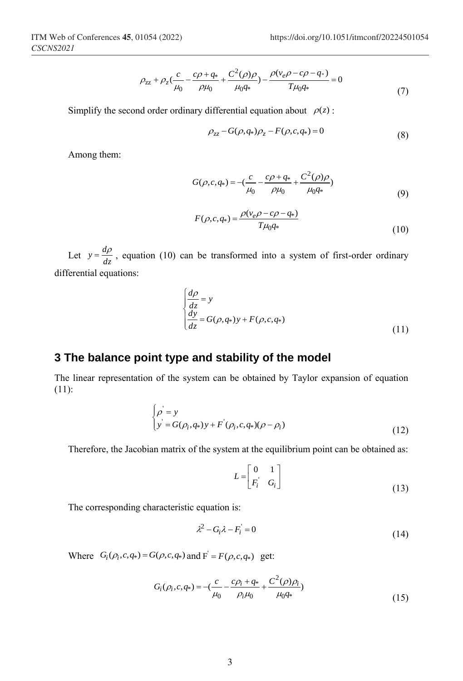$$
\rho_{zz} + \rho_z \left(\frac{c}{\mu_0} - \frac{c\rho + q_*}{\rho \mu_0} + \frac{C^2(\rho)\rho}{\mu_0 q_*}\right) - \frac{\rho(v_e \rho - c\rho - q_*)}{T\mu_0 q_*} = 0
$$
\n(7)

Simplify the second order ordinary differential equation about  $\rho(z)$ :

$$
\rho_{zz} - G(\rho, q_*)\rho_z - F(\rho, c, q_*) = 0 \tag{8}
$$

Among them:

$$
G(\rho, c, q_*) = -\left(\frac{c}{\mu_0} - \frac{c\rho + q_*}{\rho\mu_0} + \frac{C^2(\rho)\rho}{\mu_0 q_*}\right)
$$
\n(9)

$$
F(\rho, c, q_*) = \frac{\rho(v_e \rho - c\rho - q_*)}{T\mu_0 q_*}
$$
\n(10)

Let  $y = \frac{dp}{dz}$  $y = \frac{d\rho}{dt}$ , equation (10) can be transformed into a system of first-order ordinary differential equations:

$$
\begin{cases}\n\frac{d\rho}{dz} = y \\
\frac{dy}{dz} = G(\rho, q_*)y + F(\rho, c, q_*)\n\end{cases}
$$
\n(11)

## **3 The balance point type and stability of the model**

The linear representation of the system can be obtained by Taylor expansion of equation (11):

$$
\begin{cases}\n\rho = y \\
y = G(\rho_i, q_*)y + F'(\rho_i, c, q_*) (\rho - \rho_i)\n\end{cases}
$$
\n(12)

Therefore, the Jacobian matrix of the system at the equilibrium point can be obtained as:

$$
L = \begin{bmatrix} 0 & 1 \\ F_i & G_i \end{bmatrix}
$$
 (13)

The corresponding characteristic equation is:

$$
\lambda^2 - G_i \lambda - F_i = 0 \tag{14}
$$

Where  $G_i(\rho_i, c, q_*) = G(\rho, c, q_*)$  and  $F = F(\rho, c, q_*)$  get:

$$
G_i(\rho_i, c, q_*) = -\left(\frac{c}{\mu_0} - \frac{c\rho_i + q_*}{\rho_i\mu_0} + \frac{C^2(\rho)\rho_i}{\mu_0 q_*}\right)
$$
\n(15)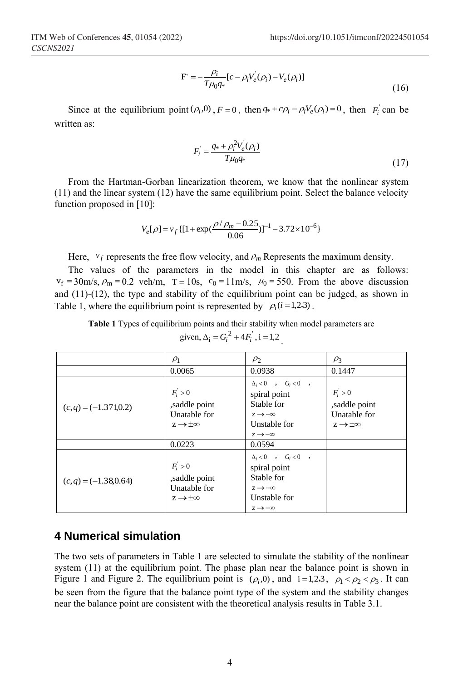$$
F = -\frac{\rho_i}{T\mu_0 q_*} [c - \rho_i V_e(\rho_i) - V_e(\rho_i)]
$$
\n(16)

Since at the equilibrium point  $(\rho_i, 0)$ ,  $F = 0$ , then  $q_* + c\rho_i - \rho_i V_e(\rho_i) = 0$ , then  $F_i$  can be written as:

$$
F_i = \frac{q_* + \rho_i^2 V_e(\rho_i)}{T\mu_0 q_*}
$$
\n(17)

From the Hartman-Gorban linearization theorem, we know that the nonlinear system (11) and the linear system (12) have the same equilibrium point. Select the balance velocity function proposed in [10]:

$$
V_e[\rho] = v_f\{[1 + \exp(\frac{\rho/\rho_m - 0.25}{0.06})]^{-1} - 3.72 \times 10^{-6}\}
$$

Here,  $v_f$  represents the free flow velocity, and  $\rho_m$  Represents the maximum density.

The values of the parameters in the model in this chapter are as follows:  $v_f = 30 \text{m/s}, \rho_m = 0.2 \text{ veh/m}, \tau = 10 \text{s}, \tau_0 = 11 \text{m/s}, \mu_0 = 550.$  From the above discussion and  $(11)-(12)$ , the type and stability of the equilibrium point can be judged, as shown in Table 1, where the equilibrium point is represented by  $\rho_i(i=1,2,3)$ .

**Table 1** Types of equilibrium points and their stability when model parameters are

| $P_1$                      | $P_2$                                | $P_3$                                |                                      |
|----------------------------|--------------------------------------|--------------------------------------|--------------------------------------|
| $0.0065$                   | $0.0938$                             | $0.1447$                             |                                      |
| $(c,q) = (-1.3710.2)$      | $F_i > 0$                            | spiral point                         | $F_i > 0$                            |
| $(c,q) = (-1.3710.2)$      | Saddle point                         | Stable for $z \rightarrow +\infty$   | Unstable for $z \rightarrow +\infty$ |
| $0.0223$                   | $0.0594$                             | Unstable for $z \rightarrow +\infty$ |                                      |
| $(c,q) = (-1.380.64)$      | $F_i > 0$                            | spiral point                         |                                      |
| $(c,q) = (-1.380.64)$      | $F_i > 0$                            | spiral point                         |                                      |
| $(c,q) = (-1.380.64)$      | Isaddle point                        | Stable for $z \rightarrow +\infty$   |                                      |
| $z \rightarrow \pm \infty$ | Unstable for $z \rightarrow +\infty$ | Unstable for $z \rightarrow -\infty$ |                                      |

given, 
$$
\Delta_i = G_i^2 + 4F_i^{\prime}
$$
, i = 1,2

### **4 Numerical simulation**

The two sets of parameters in Table 1 are selected to simulate the stability of the nonlinear system (11) at the equilibrium point. The phase plan near the balance point is shown in Figure 1 and Figure 2. The equilibrium point is  $(\rho_i, 0)$ , and  $i = 1, 2, 3$ ,  $\rho_1 < \rho_2 < \rho_3$ . It can be seen from the figure that the balance point type of the system and the stability changes near the balance point are consistent with the theoretical analysis results in Table 3.1.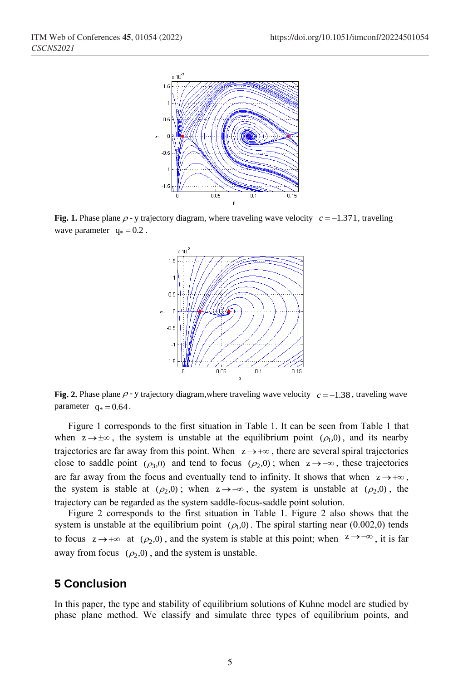

**Fig. 1.** Phase plane  $\rho$  - y trajectory diagram, where traveling wave velocity  $c = -1.371$ , traveling wave parameter  $q_* = 0.2$ .



**Fig. 2.** Phase plane  $\rho$  - y trajectory diagram, where traveling wave velocity  $c = -1.38$ , traveling wave parameter  $q_* = 0.64$ .

Figure 1 corresponds to the first situation in Table 1. It can be seen from Table 1 that when  $z \rightarrow \pm \infty$ , the system is unstable at the equilibrium point  $(\rho_1, 0)$ , and its nearby trajectories are far away from this point. When  $z \rightarrow +\infty$ , there are several spiral trajectories close to saddle point  $(\rho_3, 0)$  and tend to focus  $(\rho_2, 0)$ ; when  $z \to -\infty$ , these trajectories are far away from the focus and eventually tend to infinity. It shows that when  $z \rightarrow +\infty$ , the system is stable at  $(\rho_2, 0)$ ; when  $z \to -\infty$ , the system is unstable at  $(\rho_2, 0)$ , the trajectory can be regarded as the system saddle-focus-saddle point solution.

Figure 2 corresponds to the first situation in Table 1. Figure 2 also shows that the system is unstable at the equilibrium point  $(\rho_1, 0)$ . The spiral starting near (0.002,0) tends to focus  $z \to +\infty$  at  $(\rho_2, 0)$ , and the system is stable at this point; when  $z \to -\infty$ , it is far away from focus  $(\rho_2, 0)$ , and the system is unstable.

## **5 Conclusion**

In this paper, the type and stability of equilibrium solutions of Kuhne model are studied by phase plane method. We classify and simulate three types of equilibrium points, and